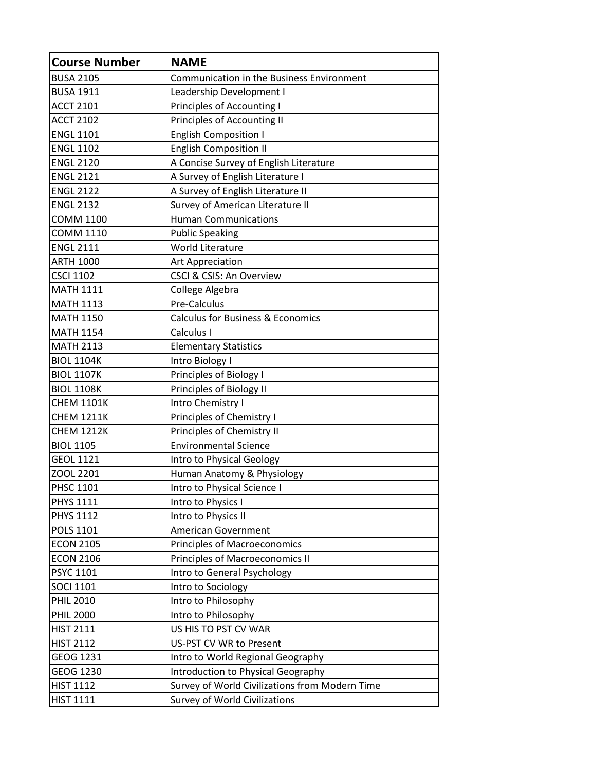| <b>Course Number</b> | <b>NAME</b>                                      |
|----------------------|--------------------------------------------------|
| <b>BUSA 2105</b>     | <b>Communication in the Business Environment</b> |
| <b>BUSA 1911</b>     | Leadership Development I                         |
| <b>ACCT 2101</b>     | Principles of Accounting I                       |
| <b>ACCT 2102</b>     | Principles of Accounting II                      |
| <b>ENGL 1101</b>     | <b>English Composition I</b>                     |
| <b>ENGL 1102</b>     | <b>English Composition II</b>                    |
| <b>ENGL 2120</b>     | A Concise Survey of English Literature           |
| <b>ENGL 2121</b>     | A Survey of English Literature I                 |
| <b>ENGL 2122</b>     | A Survey of English Literature II                |
| <b>ENGL 2132</b>     | Survey of American Literature II                 |
| <b>COMM 1100</b>     | <b>Human Communications</b>                      |
| <b>COMM 1110</b>     | <b>Public Speaking</b>                           |
| <b>ENGL 2111</b>     | <b>World Literature</b>                          |
| <b>ARTH 1000</b>     | Art Appreciation                                 |
| <b>CSCI 1102</b>     | CSCI & CSIS: An Overview                         |
| <b>MATH 1111</b>     | College Algebra                                  |
| <b>MATH 1113</b>     | Pre-Calculus                                     |
| <b>MATH 1150</b>     | <b>Calculus for Business &amp; Economics</b>     |
| <b>MATH 1154</b>     | Calculus I                                       |
| <b>MATH 2113</b>     | <b>Elementary Statistics</b>                     |
| <b>BIOL 1104K</b>    | Intro Biology I                                  |
| <b>BIOL 1107K</b>    | Principles of Biology I                          |
| <b>BIOL 1108K</b>    | Principles of Biology II                         |
| <b>CHEM 1101K</b>    | Intro Chemistry I                                |
| <b>CHEM 1211K</b>    | Principles of Chemistry I                        |
| <b>CHEM 1212K</b>    | Principles of Chemistry II                       |
| <b>BIOL 1105</b>     | <b>Environmental Science</b>                     |
| <b>GEOL 1121</b>     | Intro to Physical Geology                        |
| ZOOL 2201            | Human Anatomy & Physiology                       |
| <b>PHSC 1101</b>     | Intro to Physical Science I                      |
| <b>PHYS 1111</b>     | Intro to Physics I                               |
| <b>PHYS 1112</b>     | Intro to Physics II                              |
| <b>POLS 1101</b>     | American Government                              |
| <b>ECON 2105</b>     | Principles of Macroeconomics                     |
| <b>ECON 2106</b>     | Principles of Macroeconomics II                  |
| <b>PSYC 1101</b>     | Intro to General Psychology                      |
| <b>SOCI 1101</b>     | Intro to Sociology                               |
| <b>PHIL 2010</b>     | Intro to Philosophy                              |
| <b>PHIL 2000</b>     | Intro to Philosophy                              |
| <b>HIST 2111</b>     | US HIS TO PST CV WAR                             |
| <b>HIST 2112</b>     | US-PST CV WR to Present                          |
| GEOG 1231            | Intro to World Regional Geography                |
| GEOG 1230            | Introduction to Physical Geography               |
| <b>HIST 1112</b>     | Survey of World Civilizations from Modern Time   |
| <b>HIST 1111</b>     | <b>Survey of World Civilizations</b>             |